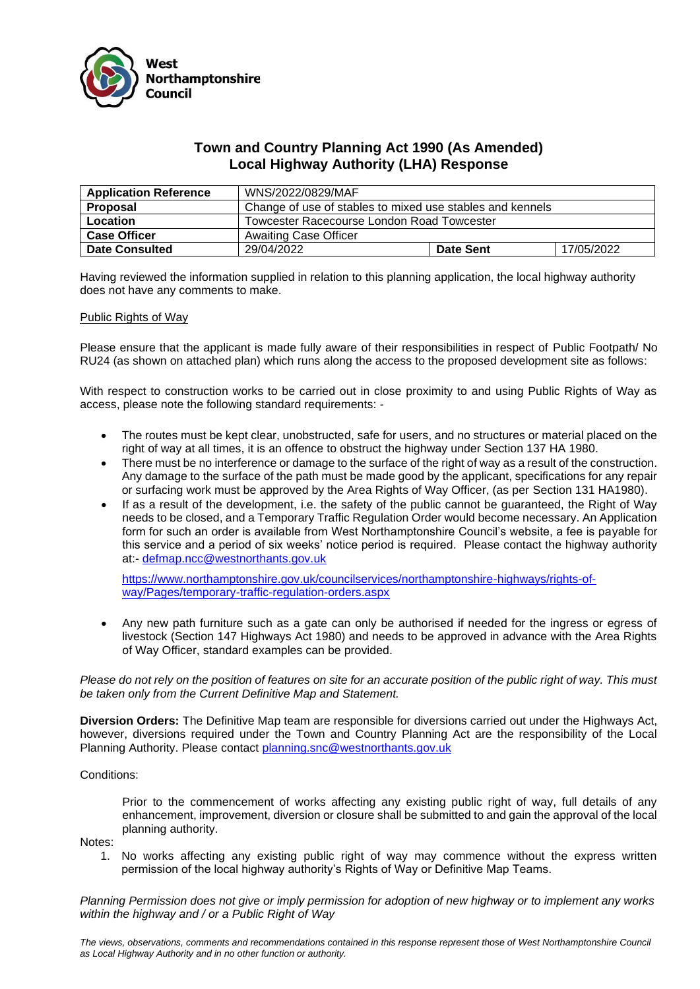

## **Town and Country Planning Act 1990 (As Amended) Local Highway Authority (LHA) Response**

| <b>Application Reference</b> | WNS/2022/0829/MAF                                         |                  |            |
|------------------------------|-----------------------------------------------------------|------------------|------------|
| Proposal                     | Change of use of stables to mixed use stables and kennels |                  |            |
| Location                     | Towcester Racecourse London Road Towcester                |                  |            |
| <b>Case Officer</b>          | <b>Awaiting Case Officer</b>                              |                  |            |
| <b>Date Consulted</b>        | 29/04/2022                                                | <b>Date Sent</b> | 17/05/2022 |

Having reviewed the information supplied in relation to this planning application, the local highway authority does not have any comments to make.

## Public Rights of Way

Please ensure that the applicant is made fully aware of their responsibilities in respect of Public Footpath/ No RU24 (as shown on attached plan) which runs along the access to the proposed development site as follows:

With respect to construction works to be carried out in close proximity to and using Public Rights of Way as access, please note the following standard requirements: -

- The routes must be kept clear, unobstructed, safe for users, and no structures or material placed on the right of way at all times, it is an offence to obstruct the highway under Section 137 HA 1980.
- There must be no interference or damage to the surface of the right of way as a result of the construction. Any damage to the surface of the path must be made good by the applicant, specifications for any repair or surfacing work must be approved by the Area Rights of Way Officer, (as per Section 131 HA1980).
- If as a result of the development, i.e. the safety of the public cannot be quaranteed, the Right of Way needs to be closed, and a Temporary Traffic Regulation Order would become necessary. An Application form for such an order is available from West Northamptonshire Council's website, a fee is payable for this service and a period of six weeks' notice period is required. Please contact the highway authority at:- [defmap.ncc@westnorthants.gov.uk](mailto:defmap.ncc@westnorthants.gov.uk)

[https://www.northamptonshire.gov.uk/councilservices/northamptonshire-highways/rights-of](https://www.northamptonshire.gov.uk/councilservices/northamptonshire-highways/rights-of-way/Pages/temporary-traffic-regulation-orders.aspx)[way/Pages/temporary-traffic-regulation-orders.aspx](https://www.northamptonshire.gov.uk/councilservices/northamptonshire-highways/rights-of-way/Pages/temporary-traffic-regulation-orders.aspx)

• Any new path furniture such as a gate can only be authorised if needed for the ingress or egress of livestock (Section 147 Highways Act 1980) and needs to be approved in advance with the Area Rights of Way Officer, standard examples can be provided.

*Please do not rely on the position of features on site for an accurate position of the public right of way. This must be taken only from the Current Definitive Map and Statement.*

**Diversion Orders:** The Definitive Map team are responsible for diversions carried out under the Highways Act, however, diversions required under the Town and Country Planning Act are the responsibility of the Local Planning Authority. Please contact [planning.snc@westnorthants.gov.uk](mailto:planning.snc@westnorthants.gov.uk)

## Conditions:

Prior to the commencement of works affecting any existing public right of way, full details of any enhancement, improvement, diversion or closure shall be submitted to and gain the approval of the local planning authority.

Notes:

1. No works affecting any existing public right of way may commence without the express written permission of the local highway authority's Rights of Way or Definitive Map Teams.

*Planning Permission does not give or imply permission for adoption of new highway or to implement any works within the highway and / or a Public Right of Way*